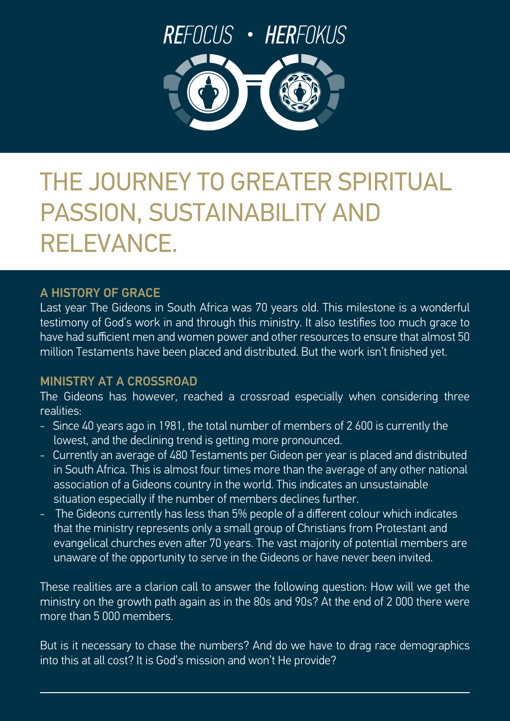

# THE JOURNEY TO GREATER SPIRITUAL PASSION, SUSTAINABILITY AND RELEVANCE.

## A HISTORY OF GRACE

Last year The Gideons in South Africa was 70 years old. This milestone is a wonderful testimony of God's work in and through this ministry. It also testifies too much grace to have had sufficient men and women power and other resources to ensure that almost 50 million Testaments have been placed and distributed. But the work isn't finished yet.

# MINISTRY AT A CROSSROAD

The Gideons has however, reached a crossroad especially when considering three realities:

- Since 40 years ago in 1981, the total number of members of 2 600 is currently the lowest, and the declining trend is getting more pronounced.
- Currently an average of 480 Testaments per Gideon per year is placed and distributed in South Africa. This is almost four times more than the average of any other national association of a Gideons country in the world. This indicates an unsustainable situation especially if the number of members declines further.
- The Gideons currently has less than 5% people of a different colour which indicates that the ministry represents only a small group of Christians from Protestant and evangelical churches even after 70 years. The vast majority of potential members are unaware of the opportunity to serve in the Gideons or have never been invited.

These realities are a clarion call to answer the following question: How will we get the ministry on the growth path again as in the 80s and 90s? At the end of 2 000 there were more than 5 000 members.

But is it necessary to chase the numbers? And do we have to drag race demographics into this at all cost? It is God's mission and won't He provide?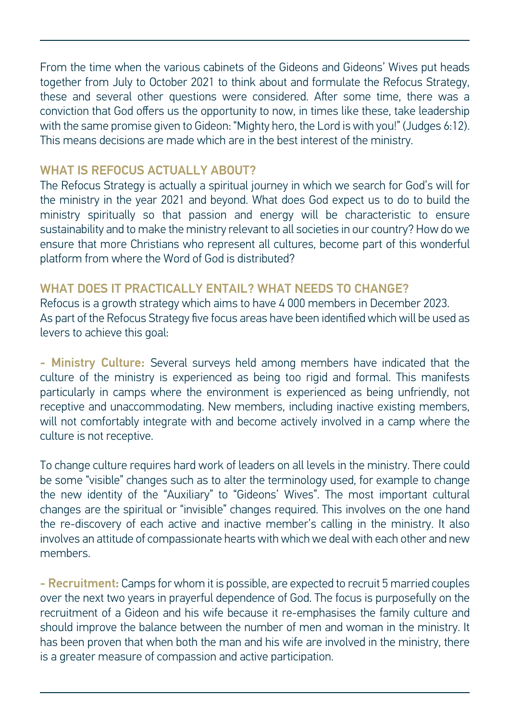From the time when the various cabinets of the Gideons and Gideons' Wives put heads together from July to October 2021 to think about and formulate the Refocus Strategy, these and several other questions were considered. After some time, there was a conviction that God offers us the opportunity to now, in times like these, take leadership with the same promise given to Gideon: "Mighty hero, the Lord is with you!" (Judges 6:12). This means decisions are made which are in the best interest of the ministry.

### WHAT IS REFOCUS ACTUALLY ABOUT?

The Refocus Strategy is actually a spiritual journey in which we search for God's will for the ministry in the year 2021 and beyond. What does God expect us to do to build the ministry spiritually so that passion and energy will be characteristic to ensure sustainability and to make the ministry relevant to all societies in our country? How do we ensure that more Christians who represent all cultures, become part of this wonderful platform from where the Word of God is distributed?

#### $\overline{v}$ WHAT DOES IT PRACTICALLY ENTAIL? WHAT NEEDS TO CHANGE?

Refocus is a growth strategy which aims to have 4 000 members in December 2023. As part of the Refocus Strategy five focus areas have been identified which will be used as levers to achieve this goal:

- Ministry Culture: Several surveys held among members have indicated that the culture of the ministry is experienced as being too rigid and formal. This manifests particularly in camps where the environment is experienced as being unfriendly, not receptive and unaccommodating. New members, including inactive existing members, will not comfortably integrate with and become actively involved in a camp where the culture is not receptive.

To change culture requires hard work of leaders on all levels in the ministry. There could be some "visible" changes such as to alter the terminology used, for example to change the new identity of the "Auxiliary" to "Gideons' Wives". The most important cultural changes are the spiritual or "invisible" changes required. This involves on the one hand the re-discovery of each active and inactive member's calling in the ministry. It also involves an attitude of compassionate hearts with which we deal with each other and new members.

- Recruitment: Camps for whom it is possible, are expected to recruit 5 married couples over the next two years in prayerful dependence of God. The focus is purposefully on the recruitment of a Gideon and his wife because it re-emphasises the family culture and should improve the balance between the number of men and woman in the ministry. It has been proven that when both the man and his wife are involved in the ministry, there is a greater measure of compassion and active participation.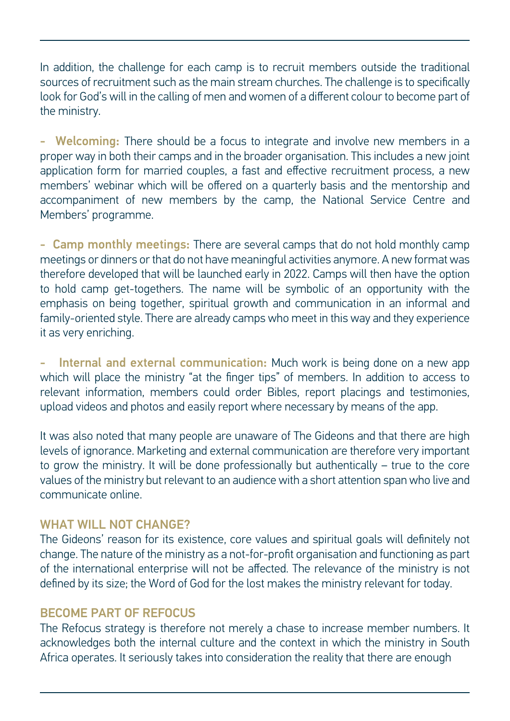In addition, the challenge for each camp is to recruit members outside the traditional sources of recruitment such as the main stream churches. The challenge is to specifically look for God's will in the calling of men and women of a different colour to become part of the ministry.

- Welcoming: There should be a focus to integrate and involve new members in a proper way in both their camps and in the broader organisation. This includes a new joint application form for married couples, a fast and effective recruitment process, a new members' webinar which will be offered on a quarterly basis and the mentorship and accompaniment of new members by the camp, the National Service Centre and Members' programme.

therefore developed that will be launched early in 2022. Camps will then have the option - Camp monthly meetings: There are several camps that do not hold monthly camp meetings or dinners or that do not have meaningful activities anymore. A new format was to hold camp get-togethers. The name will be symbolic of an opportunity with the emphasis on being together, spiritual growth and communication in an informal and family-oriented style. There are already camps who meet in this way and they experience it as very enriching.

Internal and external communication: Much work is being done on a new app which will place the ministry "at the finger tips" of members. In addition to access to relevant information, members could order Bibles, report placings and testimonies, upload videos and photos and easily report where necessary by means of the app.

It was also noted that many people are unaware of The Gideons and that there are high levels of ignorance. Marketing and external communication are therefore very important to grow the ministry. It will be done professionally but authentically – true to the core values of the ministry but relevant to an audience with a short attention span who live and communicate online.

### WHAT WILL NOT CHANGE?

The Gideons' reason for its existence, core values and spiritual goals will definitely not change. The nature of the ministry as a not-for-profit organisation and functioning as part of the international enterprise will not be affected. The relevance of the ministry is not defined by its size; the Word of God for the lost makes the ministry relevant for today.

## BECOME PART OF REFOCUS

The Refocus strategy is therefore not merely a chase to increase member numbers. It acknowledges both the internal culture and the context in which the ministry in South Africa operates. It seriously takes into consideration the reality that there are enough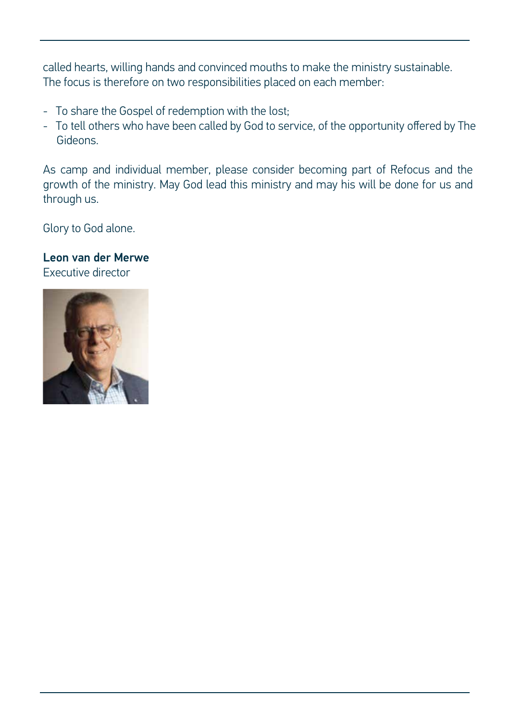called hearts, willing hands and convinced mouths to make the ministry sustainable. The focus is therefore on two responsibilities placed on each member:

- To share the Gospel of redemption with the lost;
- To tell others who have been called by God to service, of the opportunity offered by The Gideons.

As camp and individual member, please consider becoming part of Refocus and the growth of the ministry. May God lead this ministry and may his will be done for us and through us.

Glory to God alone.

Executive director Leon van der Merwe